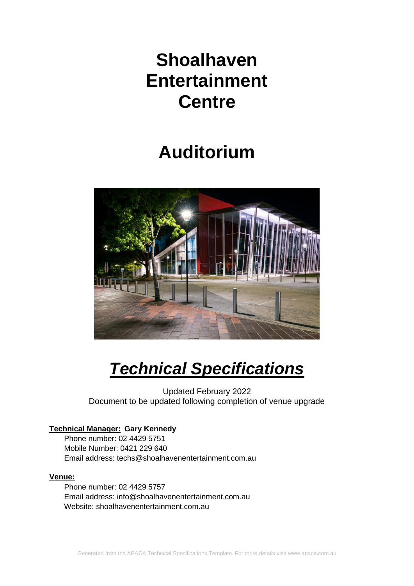# **Shoalhaven Entertainment Centre**

# **Auditorium**



# *Technical Specifications*

Updated February 2022 Document to be updated following completion of venue upgrade

# **Technical Manager: Gary Kennedy**

Phone number: 02 4429 5751 Mobile Number: 0421 229 640 Email address: techs@shoalhavenentertainment.com.au

# **Venue:**

Phone number: 02 4429 5757 Email address: info@shoalhavenentertainment.com.au Website: shoalhavenentertainment.com.au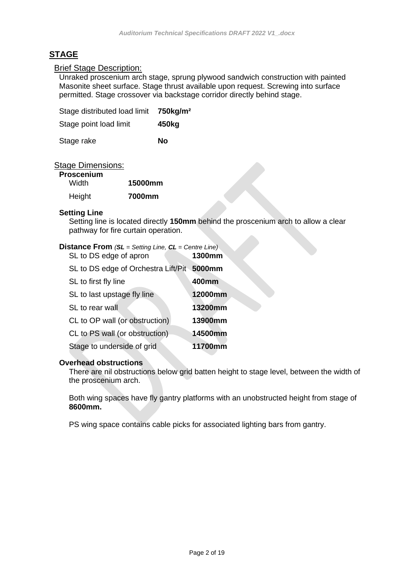# **STAGE**

#### Brief Stage Description:

Unraked proscenium arch stage, sprung plywood sandwich construction with painted Masonite sheet surface. Stage thrust available upon request. Screwing into surface permitted. Stage crossover via backstage corridor directly behind stage.

| Stage distributed load limit 750kg/m <sup>2</sup> |       |
|---------------------------------------------------|-------|
| Stage point load limit                            | 450kg |
| Stage rake                                        | Nο    |

#### Stage Dimensions:

#### **Proscenium**

| ------------<br>Width | 15000mm |
|-----------------------|---------|
| Height                | 7000mm  |

#### **Setting Line**

Setting line is located directly **150mm** behind the proscenium arch to allow a clear pathway for fire curtain operation.

# **Distance From** *(SL = Setting Line, CL = Centre Line)*

| SL to DS edge of apron                     | 1300mm  |
|--------------------------------------------|---------|
| SL to DS edge of Orchestra Lift/Pit 5000mm |         |
| SL to first fly line                       | 400mm   |
| SL to last upstage fly line                | 12000mm |
| SL to rear wall                            | 13200mm |
| CL to OP wall (or obstruction)             | 13900mm |
| CL to PS wall (or obstruction)             | 14500mm |
| Stage to underside of grid                 | 11700mm |

#### **Overhead obstructions**

There are nil obstructions below grid batten height to stage level, between the width of the proscenium arch.

Both wing spaces have fly gantry platforms with an unobstructed height from stage of **8600mm.** 

PS wing space contains cable picks for associated lighting bars from gantry.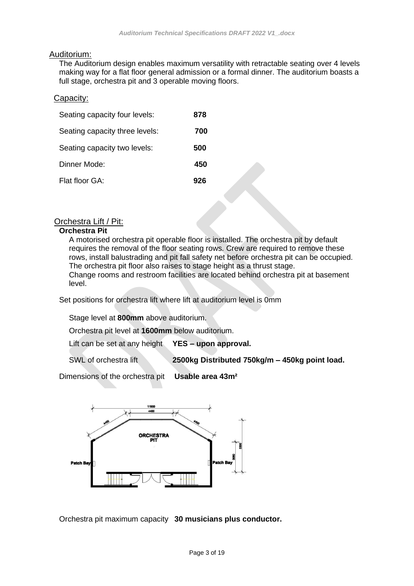#### Auditorium:

The Auditorium design enables maximum versatility with retractable seating over 4 levels making way for a flat floor general admission or a formal dinner. The auditorium boasts a full stage, orchestra pit and 3 operable moving floors.

#### Capacity:

| Seating capacity four levels:  | 878 |
|--------------------------------|-----|
| Seating capacity three levels: | 700 |
| Seating capacity two levels:   | 500 |
| Dinner Mode:                   | 450 |
| Flat floor GA:                 | 926 |

#### Orchestra Lift / Pit:

#### **Orchestra Pit**

A motorised orchestra pit operable floor is installed. The orchestra pit by default requires the removal of the floor seating rows. Crew are required to remove these rows, install balustrading and pit fall safety net before orchestra pit can be occupied. The orchestra pit floor also raises to stage height as a thrust stage. Change rooms and restroom facilities are located behind orchestra pit at basement level.

Set positions for orchestra lift where lift at auditorium level is 0mm

Stage level at **800mm** above auditorium.

Orchestra pit level at **1600mm** below auditorium.

Lift can be set at any height **YES – upon approval.**

SWL of orchestra lift **2500kg Distributed 750kg/m – 450kg point load.**

Dimensions of the orchestra pit **Usable area 43m²**



Orchestra pit maximum capacity **30 musicians plus conductor.**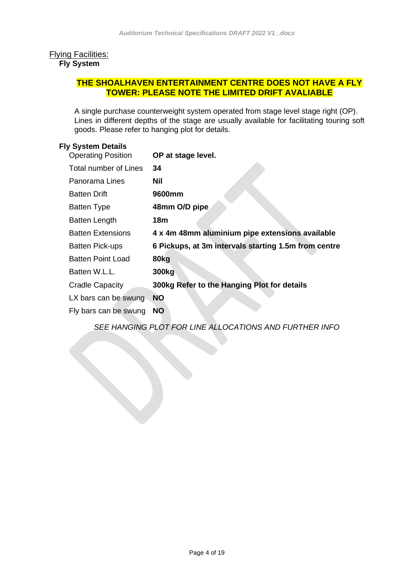#### Flying Facilities: **Fly System**

# **THE SHOALHAVEN ENTERTAINMENT CENTRE DOES NOT HAVE A FLY TOWER: PLEASE NOTE THE LIMITED DRIFT AVALIABLE**

A single purchase counterweight system operated from stage level stage right (OP). Lines in different depths of the stage are usually available for facilitating touring soft goods. Please refer to hanging plot for details.

#### **Fly System Details**

| <b>Operating Position</b> | OP at stage level.                                   |
|---------------------------|------------------------------------------------------|
| Total number of Lines     | 34                                                   |
| Panorama Lines            | Nil                                                  |
| <b>Batten Drift</b>       | 9600mm                                               |
| <b>Batten Type</b>        | 48mm O/D pipe                                        |
| <b>Batten Length</b>      | 18m                                                  |
| <b>Batten Extensions</b>  | 4 x 4m 48mm aluminium pipe extensions available      |
| <b>Batten Pick-ups</b>    | 6 Pickups, at 3m intervals starting 1.5m from centre |
| <b>Batten Point Load</b>  | 80kg                                                 |
| Batten W.L.L.             | 300 <sub>kg</sub>                                    |
| <b>Cradle Capacity</b>    | 300kg Refer to the Hanging Plot for details          |
| LX bars can be swung      | <b>NO</b>                                            |
| Fly bars can be swung     | <b>NO</b>                                            |

*SEE HANGING PLOT FOR LINE ALLOCATIONS AND FURTHER INFO*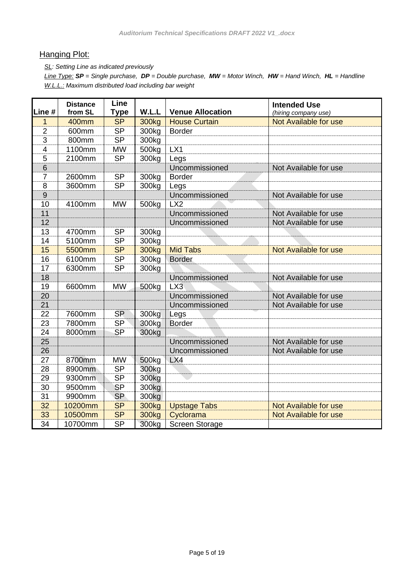# **Hanging Plot:**

*SL: Setting Line as indicated previously*

*Line Type: SP = Single purchase, DP = Double purchase, MW = Motor Winch, HW = Hand Winch, HL = Handline W.L.L.: Maximum distributed load including bar weight*

| Line #         | <b>Distance</b><br>from SL | Line<br><b>Type</b> | W.L.L             | <b>Venue Allocation</b> | <b>Intended Use</b><br>(hiring company use) |
|----------------|----------------------------|---------------------|-------------------|-------------------------|---------------------------------------------|
| 1              | 400mm                      | <b>SP</b>           | 300 <sub>kg</sub> | <b>House Curtain</b>    | Not Available for use                       |
| $\overline{2}$ | 600mm                      | <b>SP</b>           | 300kg             | <b>Border</b>           |                                             |
| 3              | 800mm                      | <b>SP</b>           | 300kg             |                         |                                             |
| 4              | 1100mm                     | <b>MW</b>           | 500 <sub>kg</sub> | LX1                     |                                             |
| 5              | 2100mm                     | <b>SP</b>           | 300kg             | Legs                    |                                             |
| 6              |                            |                     |                   | Uncommissioned          | Not Available for use                       |
| $\overline{7}$ | 2600mm                     | <b>SP</b>           | 300kg             | <b>Border</b>           |                                             |
| 8              | 3600mm                     | <b>SP</b>           | 300 <sub>kg</sub> | Legs                    |                                             |
| $\overline{9}$ |                            |                     |                   | Uncommissioned          | Not Available for use                       |
| 10             | 4100mm                     | <b>MW</b>           | 500kg             | LX2                     |                                             |
| 11             |                            |                     |                   | Uncommissioned          | Not Available for use                       |
| 12             |                            |                     |                   | Uncommissioned          | Not Available for use                       |
| 13             | 4700mm                     | <b>SP</b>           | 300kg             |                         |                                             |
| 14             | 5100mm                     | <b>SP</b>           | 300kg             |                         |                                             |
| 15             | 5500mm                     | <b>SP</b>           | 300kg             | <b>Mid Tabs</b>         | <b>Not Available for use</b>                |
| 16             | 6100mm                     | <b>SP</b>           | 300kg             | <b>Border</b>           |                                             |
| 17             | 6300mm                     | <b>SP</b>           | 300kg             |                         |                                             |
| 18             |                            |                     |                   | Uncommissioned          | Not Available for use                       |
| 19             | 6600mm                     | <b>MW</b>           | 500 <sub>kg</sub> | LX3                     |                                             |
| 20             |                            |                     |                   | Uncommissioned          | Not Available for use                       |
| 21             |                            |                     |                   | Uncommissioned          | Not Available for use                       |
| 22             | 7600mm                     | <b>SP</b>           | 300kg             | Legs                    |                                             |
| 23             | 7800mm                     | <b>SP</b>           | 300kg             | <b>Border</b>           |                                             |
| 24             | 8000mm                     | <b>SP</b>           | 300kg             |                         |                                             |
| 25             |                            |                     |                   | Uncommissioned          | Not Available for use                       |
| 26             |                            |                     |                   | Uncommissioned          | Not Available for use                       |
| 27             | 8700mm                     | <b>MW</b>           | 500 <sub>kg</sub> | LX4                     |                                             |
| 28             | 8900mm                     | <b>SP</b>           | 300 <sub>kg</sub> |                         |                                             |
| 29             | 9300mm                     | <b>SP</b>           | 300kg             |                         |                                             |
| 30             | 9500mm                     | <b>SP</b>           | 300kg             |                         |                                             |
| 31             | 9900mm                     | <b>SP</b>           | 300kg             |                         |                                             |
| 32             | 10200mm                    | <b>SP</b>           | 300 <sub>kg</sub> | <b>Upstage Tabs</b>     | Not Available for use                       |
| 33             | 10500mm                    | <b>SP</b>           | 300 <sub>kg</sub> | Cyclorama               | Not Available for use                       |
| 34             | 10700mm                    | <b>SP</b>           | 300kg             | <b>Screen Storage</b>   |                                             |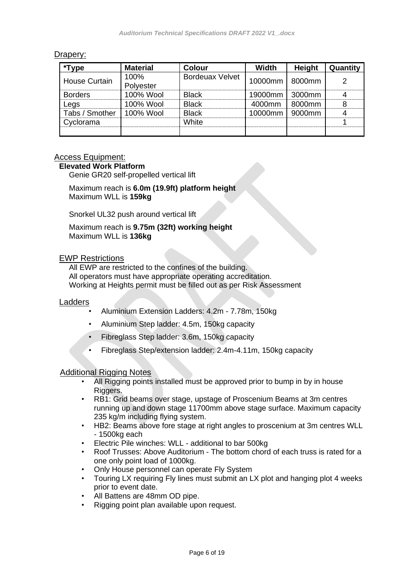# Drapery:

| *Type                | <b>Material</b>   | Colour                 | <b>Width</b>     | Height | Quantity |
|----------------------|-------------------|------------------------|------------------|--------|----------|
| <b>House Curtain</b> | 100%<br>Polyester | <b>Bordeuax Velvet</b> | 10000mm   8000mm |        |          |
| <b>Borders</b>       | 100% Wool         | <b>Black</b>           | 19000mm   3000mm |        |          |
| Legs                 | 100% Wool         | <b>Black</b>           | 4000mm           | 8000mm |          |
| Tabs / Smother       | 100% Wool         | <b>Black</b>           | 10000mm          | 9000mm |          |
| Cyclorama            |                   | White                  |                  |        |          |
|                      |                   |                        |                  |        |          |

#### Access Equipment:

### **Elevated Work Platform**

Genie GR20 self-propelled vertical lift

Maximum reach is **6.0m (19.9ft) platform height** Maximum WLL is **159kg**

Snorkel UL32 push around vertical lift

Maximum reach is **9.75m (32ft) working height** Maximum WLL is **136kg**

#### EWP Restrictions

All EWP are restricted to the confines of the building. All operators must have appropriate operating accreditation. Working at Heights permit must be filled out as per Risk Assessment

#### Ladders

- Aluminium Extension Ladders: 4.2m 7.78m, 150kg
- Aluminium Step ladder: 4.5m, 150kg capacity
- Fibreglass Step ladder: 3.6m, 150kg capacity
- Fibreglass Step/extension ladder: 2.4m-4.11m, 150kg capacity

#### Additional Rigging Notes

- All Rigging points installed must be approved prior to bump in by in house Riggers.
- RB1: Grid beams over stage, upstage of Proscenium Beams at 3m centres running up and down stage 11700mm above stage surface. Maximum capacity 235 kg/m including flying system.
- HB2: Beams above fore stage at right angles to proscenium at 3m centres WLL - 1500kg each
- Electric Pile winches: WLL additional to bar 500kg
- Roof Trusses: Above Auditorium The bottom chord of each truss is rated for a one only point load of 1000kg.
- Only House personnel can operate Fly System
- Touring LX requiring Fly lines must submit an LX plot and hanging plot 4 weeks prior to event date.
- All Battens are 48mm OD pipe.
- Rigging point plan available upon request.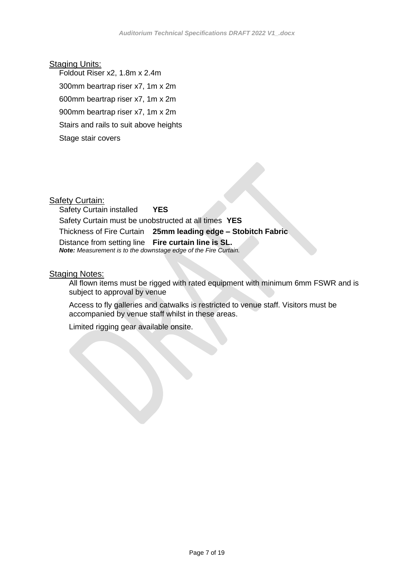#### **Staging Units:**

Foldout Riser x2, 1.8m x 2.4m

300mm beartrap riser x7, 1m x 2m

600mm beartrap riser x7, 1m x 2m

900mm beartrap riser x7, 1m x 2m

Stairs and rails to suit above heights

Stage stair covers

#### **Safety Curtain:**

Safety Curtain installed **YES** Safety Curtain must be unobstructed at all times **YES** Thickness of Fire Curtain **25mm leading edge – Stobitch Fabric** Distance from setting line **Fire curtain line is SL.**  *Note: Measurement is to the downstage edge of the Fire Curtain.*

#### **Staging Notes:**

All flown items must be rigged with rated equipment with minimum 6mm FSWR and is subject to approval by venue

Access to fly galleries and catwalks is restricted to venue staff. Visitors must be accompanied by venue staff whilst in these areas.

Limited rigging gear available onsite.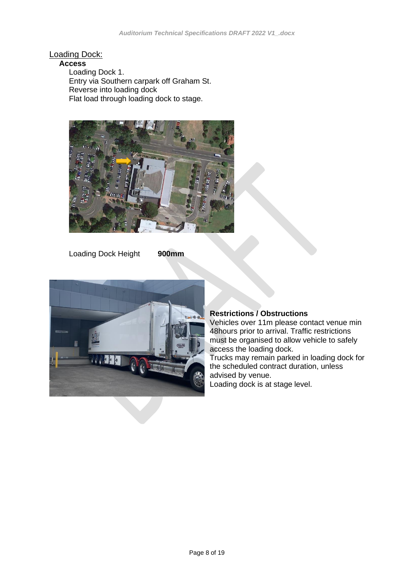# Loading Dock:

#### **Access**

Loading Dock 1. Entry via Southern carpark off Graham St. Reverse into loading dock Flat load through loading dock to stage.



Loading Dock Height **900mm**



#### **Restrictions / Obstructions**

Vehicles over 11m please contact venue min 48hours prior to arrival. Traffic restrictions must be organised to allow vehicle to safely access the loading dock.

Trucks may remain parked in loading dock for the scheduled contract duration, unless advised by venue. Loading dock is at stage level.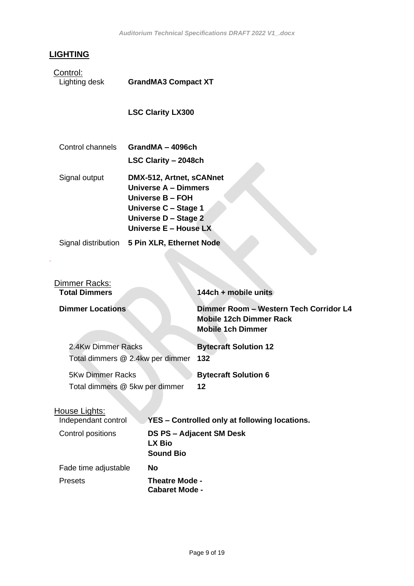# **LIGHTING**

.

Control:<br>Lighting desk

**GrandMA3 Compact XT** 

**LSC Clarity LX300**

| Control channels | GrandMA - 4096ch                                                                                                     |
|------------------|----------------------------------------------------------------------------------------------------------------------|
|                  | LSC Clarity - 2048ch                                                                                                 |
| Signal output    | DMX-512, Artnet, sCANnet<br>Universe A - Dimmers<br>Universe B - FOH<br>Universe C - Stage 1<br>Universe D - Stage 2 |
|                  | Universe E - House LX                                                                                                |

Signal distribution **5 Pin XLR, Ethernet Node**

| Dimmer Racks:<br><b>Total Dimmers</b>                     |                            | 144ch + mobile units                                                                                 |
|-----------------------------------------------------------|----------------------------|------------------------------------------------------------------------------------------------------|
| <b>Dimmer Locations</b>                                   |                            | Dimmer Room - Western Tech Corridor L4<br><b>Mobile 12ch Dimmer Rack</b><br><b>Mobile 1ch Dimmer</b> |
| 2.4Kw Dimmer Racks<br>Total dimmers @ 2.4kw per dimmer    |                            | <b>Bytecraft Solution 12</b><br>132                                                                  |
| <b>5Kw Dimmer Racks</b><br>Total dimmers @ 5kw per dimmer |                            | <b>Bytecraft Solution 6</b><br>12                                                                    |
| House Lights:<br>Independant control                      |                            | YES – Controlled only at following locations.                                                        |
| Control positions                                         | LX Bio<br><b>Sound Bio</b> | DS PS - Adjacent SM Desk                                                                             |
| Fade time adjustable                                      | No                         |                                                                                                      |

Presets **Theatre Mode - Cabaret Mode -**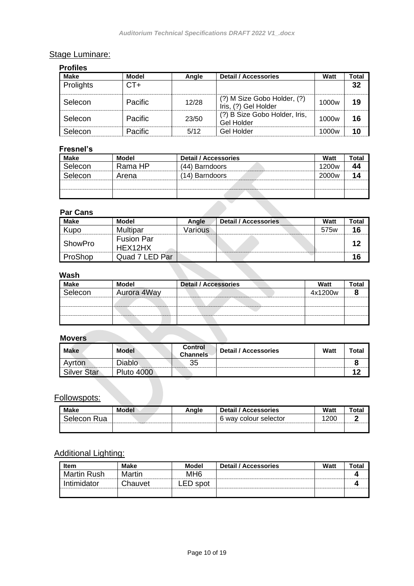# Stage Luminare:

| <b>Profiles</b> |                |       |                                                     |                   |       |
|-----------------|----------------|-------|-----------------------------------------------------|-------------------|-------|
| <b>Make</b>     | <b>Model</b>   | Angle | <b>Detail / Accessories</b>                         | Watt              | Total |
| Prolights       | $CT+$          |       |                                                     |                   | 32    |
| Selecon         | <b>Pacific</b> | 12/28 | (?) M Size Gobo Holder, (?)<br>Iris, (?) Gel Holder | 1000 <sub>w</sub> | 19    |
| Selecon         | <b>Pacific</b> | 23/50 | (?) B Size Gobo Holder, Iris,<br>Gel Holder         | 1000 <sub>w</sub> | 16    |
| Selecon         | Pacific        | 5/12  | Gel Holder                                          | 1000 <sub>w</sub> | 10    |

#### **Fresnel's**

| Make    | Model   | <b>Detail / Accessories</b> | Watt              | Total |
|---------|---------|-----------------------------|-------------------|-------|
| Selecon | Rama HP | (44) Barndoors              | 1200 <sub>w</sub> |       |
| Selecon | Arena   | (14) Barndoors              | 2000 <sub>w</sub> |       |
|         |         |                             |                   |       |
|         |         |                             |                   |       |

#### **Par Cans**

| <b>Make</b>    | Model                        | Angle   | Detail / Accessories | Watt | Total |
|----------------|------------------------------|---------|----------------------|------|-------|
| Kupo           | Multipar                     | Various |                      | 575w | 16    |
| ShowPro        | <b>Fusion Par</b><br>HEX12HX |         |                      |      |       |
| <b>ProShop</b> | Quad 7 LED Par               |         |                      |      | ın    |

# **Wash**

| <b>Make</b> | Model       | <b>Detail / Accessories</b> | Watt    | `otal |
|-------------|-------------|-----------------------------|---------|-------|
| selecon     | Aurora 4Way |                             | 4x1200w |       |
|             |             |                             |         |       |
|             |             |                             |         |       |
|             |             |                             |         |       |

#### **Movers**

| Make        | <b>Model</b>      | <b>Control</b><br><b>Channels</b> | <b>Detail / Accessories</b> | <b>Watt</b> | Total |
|-------------|-------------------|-----------------------------------|-----------------------------|-------------|-------|
| Avrton      | <b>Diablo</b>     | 35                                |                             |             |       |
| Silver Star | <b>Pluto 4000</b> |                                   |                             |             |       |

Followspots:

| <b>Make</b>           | <b>Model</b> | Anale | <b>Detail / Accessories</b> | Watt       | ⊺otaı |
|-----------------------|--------------|-------|-----------------------------|------------|-------|
| Selecon<br><b>Rua</b> |              |       | 6 way colour selector       | <b>200</b> |       |
|                       |              |       |                             |            |       |

# Additional Lighting:

| <b>Item</b>        | Make    | <b>Model</b>    | <b>Detail / Accessories</b> | Watt | ™otal |
|--------------------|---------|-----------------|-----------------------------|------|-------|
| <b>Martin Rush</b> | Martin  | MH <sub>6</sub> |                             |      |       |
| Intimidator        | Chauvet | spot<br>LED.    |                             |      |       |
|                    |         |                 |                             |      |       |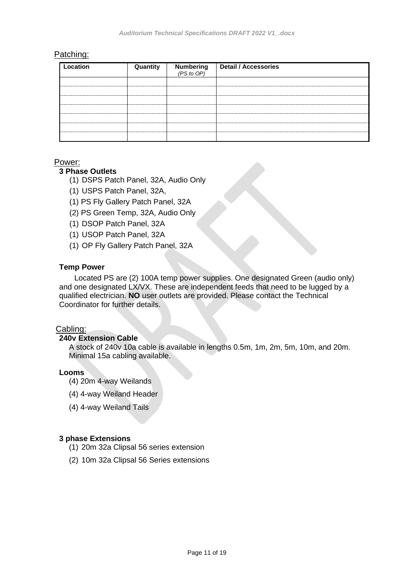#### Patching:

| Location | Quantity | Numbering $(PS~to~OP)$ | <b>Detail / Accessories</b> |
|----------|----------|------------------------|-----------------------------|
|          |          |                        |                             |
|          |          |                        |                             |
|          |          |                        |                             |
|          |          |                        |                             |
|          |          |                        |                             |
|          |          |                        |                             |
|          |          |                        |                             |

#### Power:

#### **3 Phase Outlets**

- (1) DSPS Patch Panel, 32A, Audio Only
- (1) USPS Patch Panel, 32A,
- (1) PS Fly Gallery Patch Panel, 32A
- (2) PS Green Temp, 32A, Audio Only
- (1) DSOP Patch Panel, 32A
- (1) USOP Patch Panel, 32A
- (1) OP Fly Gallery Patch Panel, 32A

#### **Temp Power**

Located PS are (2) 100A temp power supplies. One designated Green (audio only) and one designated LX/VX. These are independent feeds that need to be lugged by a qualified electrician. **NO** user outlets are provided. Please contact the Technical Coordinator for further details.

#### Cabling:

#### **240v Extension Cable**

A stock of 240v 10a cable is available in lengths 0.5m, 1m, 2m, 5m, 10m, and 20m. Minimal 15a cabling available.

#### **Looms**

- (4) 20m 4-way Weilands
- (4) 4-way Weiland Header
- (4) 4-way Weiland Tails

#### **3 phase Extensions**

- (1) 20m 32a Clipsal 56 series extension
- (2) 10m 32a Clipsal 56 Series extensions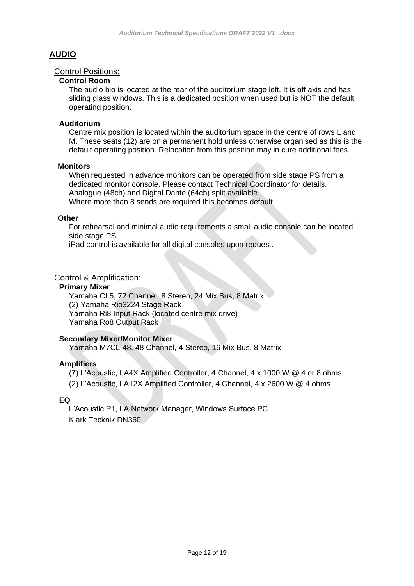# **AUDIO**

#### Control Positions:

#### **Control Room**

The audio bio is located at the rear of the auditorium stage left. It is off axis and has sliding glass windows. This is a dedicated position when used but is NOT the default operating position.

#### **Auditorium**

Centre mix position is located within the auditorium space in the centre of rows L and M. These seats (12) are on a permanent hold unless otherwise organised as this is the default operating position. Relocation from this position may in cure additional fees.

#### **Monitors**

When requested in advance monitors can be operated from side stage PS from a dedicated monitor console. Please contact Technical Coordinator for details. Analogue (48ch) and Digital Dante (64ch) split available. Where more than 8 sends are required this becomes default.

#### **Other**

For rehearsal and minimal audio requirements a small audio console can be located side stage PS.

iPad control is available for all digital consoles upon request.

#### Control & Amplification:

#### **Primary Mixer**

Yamaha CL5, 72 Channel, 8 Stereo, 24 Mix Bus, 8 Matrix (2) Yamaha Rio3224 Stage Rack Yamaha Ri8 Input Rack (located centre mix drive) Yamaha Ro8 Output Rack

#### **Secondary Mixer/Monitor Mixer**

Yamaha M7CL-48, 48 Channel, 4 Stereo, 16 Mix Bus, 8 Matrix

#### **Amplifiers**

(7) L'Acoustic, LA4X Amplified Controller, 4 Channel, 4 x 1000 W @ 4 or 8 ohms (2) L'Acoustic, LA12X Amplified Controller, 4 Channel, 4 x 2600 W @ 4 ohms

#### **EQ**

L'Acoustic P1, LA Network Manager, Windows Surface PC Klark Tecknik DN360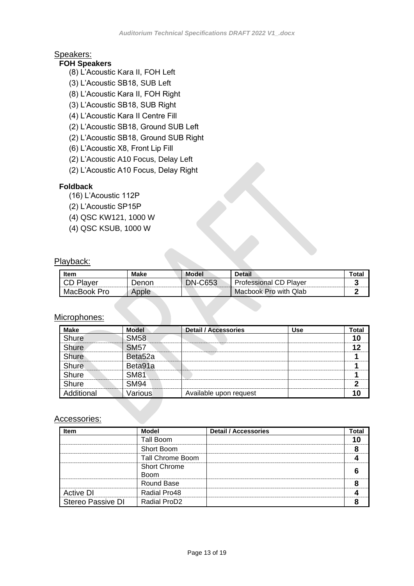# Speakers:

# **FOH Speakers**

- (8) L'Acoustic Kara II, FOH Left
- (3) L'Acoustic SB18, SUB Left
- (8) L'Acoustic Kara II, FOH Right
- (3) L'Acoustic SB18, SUB Right
- (4) L'Acoustic Kara II Centre Fill
- (2) L'Acoustic SB18, Ground SUB Left
- (2) L'Acoustic SB18, Ground SUB Right
- (6) L'Acoustic X8, Front Lip Fill
- (2) L'Acoustic A10 Focus, Delay Left
- (2) L'Acoustic A10 Focus, Delay Right

#### **Foldback**

- (16) L'Acoustic 112P
- (2) L'Acoustic SP15P
- (4) QSC KW121, 1000 W
- (4) QSC KSUB, 1000 W

#### Playback:

| <b>Item</b>      | Make  | <b>Model</b>   | <b>Detail</b>                 | ' ota |
|------------------|-------|----------------|-------------------------------|-------|
| <b>CD Player</b> | Denon | <b>DN-C653</b> | <b>Professional CD Player</b> |       |
| MacBook Pro      | Apple |                | Macbook Pro with Qlab         |       |

## Microphones:

| <b>Make</b> | <b>Model</b>        | <b>Detail / Accessories</b> | Use | Total |
|-------------|---------------------|-----------------------------|-----|-------|
| Shure       | <b>SM58</b>         |                             |     |       |
| Shure       | <b>SM57</b>         |                             |     | 49    |
| Shure       | Beta <sub>52a</sub> |                             |     |       |
| Shure       | Beta91a             |                             |     |       |
| Shure       | <b>SM81</b>         |                             |     |       |
| Shure       | <b>SM94</b>         |                             |     |       |
| Additional  | Various             | Available upon request      |     |       |

# Accessories:

| Item                     | Model               | <b>Detail / Accessories</b> | Total |
|--------------------------|---------------------|-----------------------------|-------|
|                          | Tall Boom           |                             |       |
|                          | Short Boom          |                             |       |
|                          | Tall Chrome Boom    |                             |       |
|                          | <b>Short Chrome</b> |                             |       |
|                          | <b>Boom</b>         |                             |       |
|                          | Round Base          |                             |       |
| Active DI                | Radial Pro48        |                             |       |
| <b>Stereo Passive DI</b> | <b>Radial ProD2</b> |                             |       |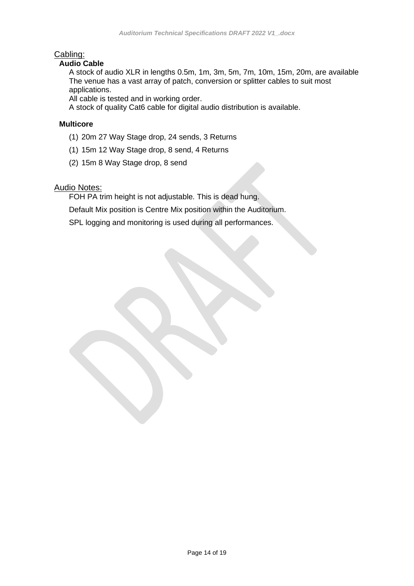# Cabling:

#### **Audio Cable**

A stock of audio XLR in lengths 0.5m, 1m, 3m, 5m, 7m, 10m, 15m, 20m, are available The venue has a vast array of patch, conversion or splitter cables to suit most applications.

All cable is tested and in working order.

A stock of quality Cat6 cable for digital audio distribution is available.

#### **Multicore**

- (1) 20m 27 Way Stage drop, 24 sends, 3 Returns
- (1) 15m 12 Way Stage drop, 8 send, 4 Returns
- (2) 15m 8 Way Stage drop, 8 send

#### Audio Notes:

FOH PA trim height is not adjustable. This is dead hung.

Default Mix position is Centre Mix position within the Auditorium.

SPL logging and monitoring is used during all performances.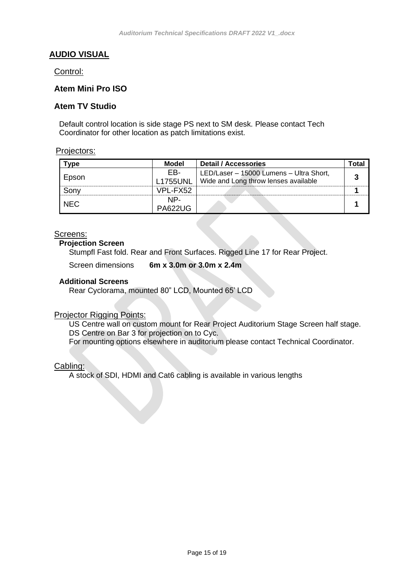# **AUDIO VISUAL**

#### Control:

#### **Atem Mini Pro ISO**

#### **Atem TV Studio**

Default control location is side stage PS next to SM desk. Please contact Tech Coordinator for other location as patch limitations exist.

#### Projectors:

| $T$ vpe    | <b>Model</b>    | <b>Detail / Accessories</b>             | Гоtal |
|------------|-----------------|-----------------------------------------|-------|
|            | EB-             | LED/Laser - 15000 Lumens - Ultra Short, |       |
| Epson      | <b>L1755UNL</b> | Wide and Long throw lenses available    |       |
| Sony       | VPL-FX52        |                                         |       |
|            | NP-             |                                         |       |
| <b>NEC</b> | <b>PA622UG</b>  |                                         |       |

#### Screens:

#### **Projection Screen**

Stumpfl Fast fold. Rear and Front Surfaces. Rigged Line 17 for Rear Project.

Screen dimensions **6m x 3.0m or 3.0m x 2.4m**

#### **Additional Screens**

Rear Cyclorama, mounted 80" LCD, Mounted 65' LCD

#### **Projector Rigging Points:**

US Centre wall on custom mount for Rear Project Auditorium Stage Screen half stage. DS Centre on Bar 3 for projection on to Cyc.

For mounting options elsewhere in auditorium please contact Technical Coordinator.

#### Cabling:

A stock of SDI, HDMI and Cat6 cabling is available in various lengths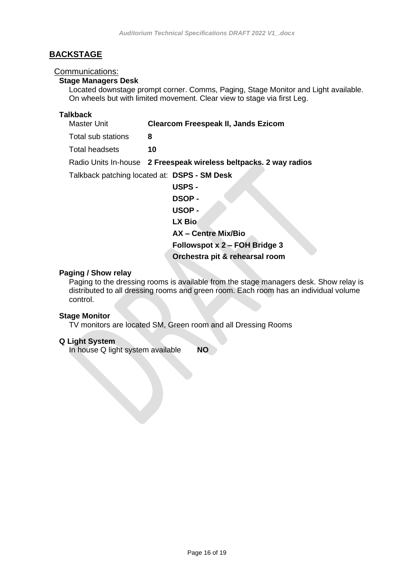# **BACKSTAGE**

#### Communications:

#### **Stage Managers Desk**

Located downstage prompt corner. Comms, Paging, Stage Monitor and Light available. On wheels but with limited movement. Clear view to stage via first Leg.

# **Talkback**

| Master Unit        | <b>Clearcom Freespeak II, Jands Ezicom</b>                        |
|--------------------|-------------------------------------------------------------------|
| Total sub stations | 8                                                                 |
| Total headsets     | 10                                                                |
|                    | Radio Units In-house 2 Freespeak wireless beltpacks. 2 way radios |
|                    | Talkback patching located at: DSPS - SM Desk                      |
|                    | <b>USPS -</b>                                                     |
|                    | <b>DSOP-</b>                                                      |
|                    | USOP-                                                             |
|                    | LX Bio                                                            |
|                    | AX - Centre Mix/Bio                                               |
|                    | Followspot x 2 – FOH Bridge 3                                     |
|                    | Orchestra pit & rehearsal room                                    |

#### **Paging / Show relay**

Paging to the dressing rooms is available from the stage managers desk. Show relay is distributed to all dressing rooms and green room. Each room has an individual volume control.

#### **Stage Monitor**

TV monitors are located SM, Green room and all Dressing Rooms

#### **Q Light System**

In house Q light system available **NO**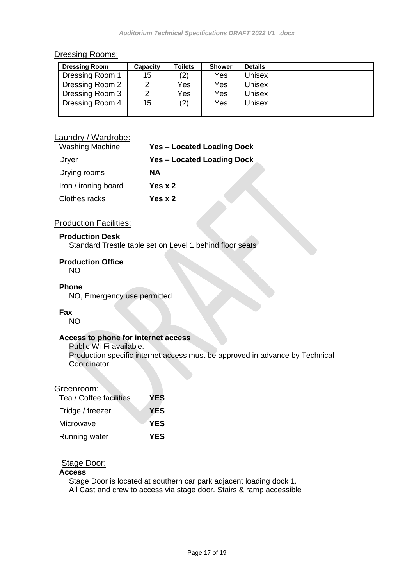#### Dressing Rooms:

| <b>Dressing Room</b> | Capacity | Toilets | <b>Shower</b> | <b>Details</b> |
|----------------------|----------|---------|---------------|----------------|
| Dressing Room 1      | 15       | '2)     | Yes           | Unisex         |
| Dressing Room 2      |          | Yes     | Yes           | Unisex         |
| Dressing Room 3      |          | Yes     | Yes           | Unisex         |
| Dressing Room 4      | 15       | 2)      | Yes           | Unisex         |
|                      |          |         |               |                |

# Laundry / Wardrobe:

| <b>Washing Machine</b> | <b>Yes - Located Loading Dock</b> |
|------------------------|-----------------------------------|
| Dryer                  | <b>Yes - Located Loading Dock</b> |
| Drying rooms           | NА                                |
| Iron / ironing board   | Yes x 2                           |
| Clothes racks          | Yes x 2                           |

## **Production Facilities:**

#### **Production Desk**

Standard Trestle table set on Level 1 behind floor seats

#### **Production Office**

NO

#### **Phone**

NO, Emergency use permitted

#### **Fax**

NO

#### **Access to phone for internet access**

Public Wi-Fi available. Production specific internet access must be approved in advance by Technical Coordinator.

#### Greenroom:

| Tea / Coffee facilities | YES        |
|-------------------------|------------|
| Fridge / freezer        | <b>YES</b> |
| Microwave               | <b>YES</b> |
| Running water           | <b>YES</b> |

# Stage Door:

#### **Access**

Stage Door is located at southern car park adjacent loading dock 1. All Cast and crew to access via stage door. Stairs & ramp accessible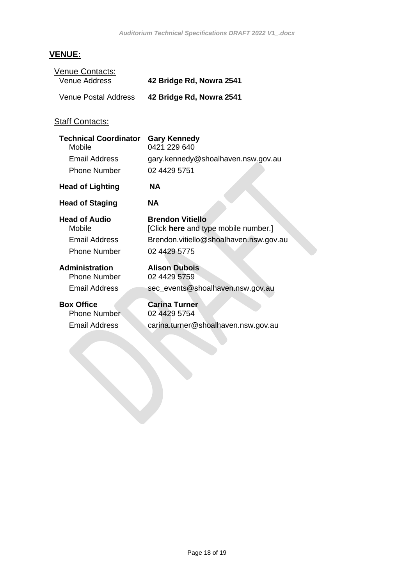# **VENUE:**

| Venue Contacts:                        |                                                                 |
|----------------------------------------|-----------------------------------------------------------------|
| Venue Address                          | 42 Bridge Rd, Nowra 2541                                        |
| Venue Postal Address                   | 42 Bridge Rd, Nowra 2541                                        |
| <b>Staff Contacts:</b>                 |                                                                 |
| <b>Technical Coordinator</b><br>Mobile | <b>Gary Kennedy</b><br>0421 229 640                             |
| Email Address                          | gary.kennedy@shoalhaven.nsw.gov.au                              |
| <b>Phone Number</b>                    | 02 4429 5751                                                    |
| <b>Head of Lighting</b>                | NA.                                                             |
| <b>Head of Staging</b>                 | NA.                                                             |
| <b>Head of Audio</b><br>Mobile         | <b>Brendon Vitiello</b><br>[Click here and type mobile number.] |
| Email Address                          | Brendon.vitiello@shoalhaven.nsw.gov.au                          |
| <b>Phone Number</b>                    | 02 4429 5775                                                    |
|                                        |                                                                 |

**Administration**<br> **Phone Number**  $02\,4429\,5759$ Phone Number

Email Address sec\_events@shoalhaven.nsw.gov.au

**Box Office**<br> **Carina Turner**<br> **Carina Turner**<br>  $02\,4429\,5754$ Phone Number

Email Address carina.turner@shoalhaven.nsw.gov.au